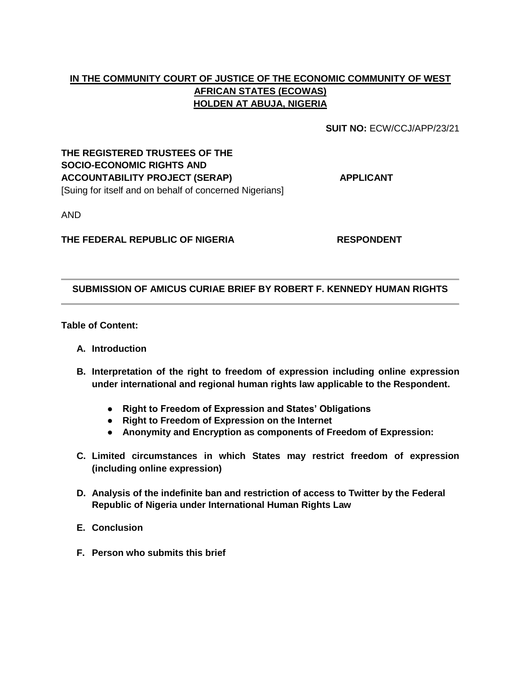# **IN THE COMMUNITY COURT OF JUSTICE OF THE ECONOMIC COMMUNITY OF WEST AFRICAN STATES (ECOWAS) HOLDEN AT ABUJA, NIGERIA**

**SUIT NO:** ECW/CCJ/APP/23/21

### **THE REGISTERED TRUSTEES OF THE SOCIO-ECONOMIC RIGHTS AND ACCOUNTABILITY PROJECT (SERAP) APPLICANT** [Suing for itself and on behalf of concerned Nigerians]

AND

### **THE FEDERAL REPUBLIC OF NIGERIA RESPONDENT**

### **SUBMISSION OF AMICUS CURIAE BRIEF BY ROBERT F. KENNEDY HUMAN RIGHTS**

**Table of Content:**

- **A. Introduction**
- **B. Interpretation of the right to freedom of expression including online expression under international and regional human rights law applicable to the Respondent.**
	- **Right to Freedom of Expression and States' Obligations**
	- **Right to Freedom of Expression on the Internet**
	- **Anonymity and Encryption as components of Freedom of Expression:**
- **C. Limited circumstances in which States may restrict freedom of expression (including online expression)**
- **D. Analysis of the indefinite ban and restriction of access to Twitter by the Federal Republic of Nigeria under International Human Rights Law**
- **E. Conclusion**
- **F. Person who submits this brief**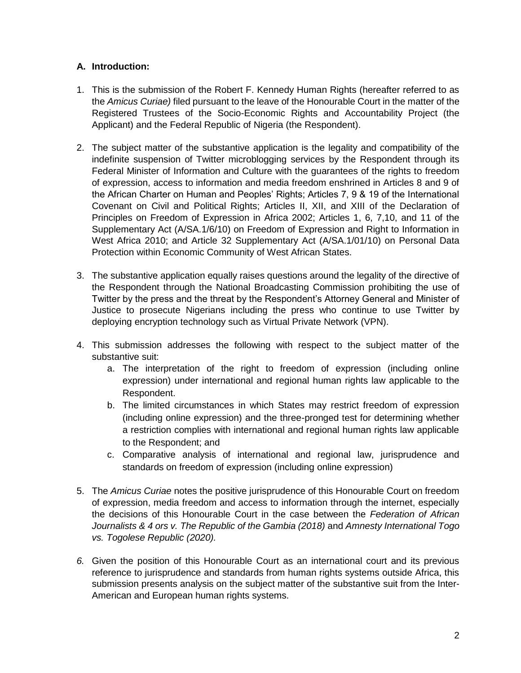## **A. Introduction:**

- 1. This is the submission of the Robert F. Kennedy Human Rights (hereafter referred to as the *Amicus Curiae)* filed pursuant to the leave of the Honourable Court in the matter of the Registered Trustees of the Socio-Economic Rights and Accountability Project (the Applicant) and the Federal Republic of Nigeria (the Respondent).
- 2. The subject matter of the substantive application is the legality and compatibility of the indefinite suspension of Twitter microblogging services by the Respondent through its Federal Minister of Information and Culture with the guarantees of the rights to freedom of expression, access to information and media freedom enshrined in Articles 8 and 9 of the African Charter on Human and Peoples' Rights; Articles 7, 9 & 19 of the International Covenant on Civil and Political Rights; Articles II, XII, and XIII of the Declaration of Principles on Freedom of Expression in Africa 2002; Articles 1, 6, 7,10, and 11 of the Supplementary Act (A/SA.1/6/10) on Freedom of Expression and Right to Information in West Africa 2010; and Article 32 Supplementary Act (A/SA.1/01/10) on Personal Data Protection within Economic Community of West African States.
- 3. The substantive application equally raises questions around the legality of the directive of the Respondent through the National Broadcasting Commission prohibiting the use of Twitter by the press and the threat by the Respondent's Attorney General and Minister of Justice to prosecute Nigerians including the press who continue to use Twitter by deploying encryption technology such as Virtual Private Network (VPN).
- 4. This submission addresses the following with respect to the subject matter of the substantive suit:
	- a. The interpretation of the right to freedom of expression (including online expression) under international and regional human rights law applicable to the Respondent.
	- b. The limited circumstances in which States may restrict freedom of expression (including online expression) and the three-pronged test for determining whether a restriction complies with international and regional human rights law applicable to the Respondent; and
	- c. Comparative analysis of international and regional law, jurisprudence and standards on freedom of expression (including online expression)
- 5. The *Amicus Curiae* notes the positive jurisprudence of this Honourable Court on freedom of expression, media freedom and access to information through the internet, especially the decisions of this Honourable Court in the case between the *Federation of African Journalists & 4 ors v. The Republic of the Gambia (2018)* and *Amnesty International Togo vs. Togolese Republic (2020).*
- *6.* Given the position of this Honourable Court as an international court and its previous reference to jurisprudence and standards from human rights systems outside Africa, this submission presents analysis on the subject matter of the substantive suit from the Inter-American and European human rights systems.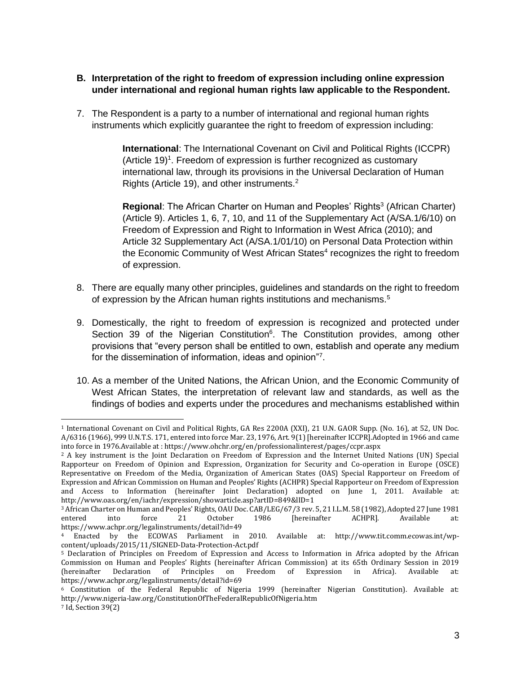### **B. Interpretation of the right to freedom of expression including online expression under international and regional human rights law applicable to the Respondent.**

7. The Respondent is a party to a number of international and regional human rights instruments which explicitly guarantee the right to freedom of expression including:

> **International**: The International Covenant on Civil and Political Rights (ICCPR) (Article 19)<sup>1</sup>. Freedom of expression is further recognized as customary international law, through its provisions in the Universal Declaration of Human Rights (Article 19), and other instruments.<sup>2</sup>

Regional: The African Charter on Human and Peoples' Rights<sup>3</sup> (African Charter) (Article 9). Articles 1, 6, 7, 10, and 11 of the Supplementary Act (A/SA.1/6/10) on Freedom of Expression and Right to Information in West Africa (2010); and Article 32 Supplementary Act (A/SA.1/01/10) on Personal Data Protection within the Economic Community of West African States<sup>4</sup> recognizes the right to freedom of expression.

- 8. There are equally many other principles, guidelines and standards on the right to freedom of expression by the African human rights institutions and mechanisms.<sup>5</sup>
- 9. Domestically, the right to freedom of expression is recognized and protected under Section 39 of the Nigerian Constitution<sup>6</sup>. The Constitution provides, among other provisions that "every person shall be entitled to own, establish and operate any medium for the dissemination of information, ideas and opinion"<sup>7</sup>.
- 10. As a member of the United Nations, the African Union, and the Economic Community of West African States, the interpretation of relevant law and standards, as well as the findings of bodies and experts under the procedures and mechanisms established within

 $\overline{a}$ 

<sup>1</sup> International Covenant on Civil and Political Rights, GA Res 2200A (XXI), 21 U.N. GAOR Supp. (No. 16), at 52, UN Doc. A/6316 (1966), 999 U.N.T.S. 171, entered into force Mar. 23, 1976, Art. 9(1) [hereinafter ICCPR].Adopted in 1966 and came into force in 1976.Available at [: https://www.ohchr.org/en/professionalinterest/pages/ccpr.aspx](https://www.ohchr.org/en/professionalinterest/pages/ccpr.aspx)

<sup>2</sup> A key instrument is the Joint Declaration on Freedom of Expression and the Internet United Nations (UN) Special Rapporteur on Freedom of Opinion and Expression, Organization for Security and Co-operation in Europe (OSCE) Representative on Freedom of the Media, Organization of American States (OAS) Special Rapporteur on Freedom of Expression and African Commission on Human and Peoples' Rights (ACHPR) Special Rapporteur on Freedom of Expression and Access to Information (hereinafter Joint Declaration) adopted on June 1, 2011. Available at: <http://www.oas.org/en/iachr/expression/showarticle.asp?artID=849&lID=1>

<sup>3</sup> African Charter on Human and Peoples' Rights, OAU Doc. CAB/LEG/67/3 rev. 5, 21 I.L.M. 58 (1982), Adopted 27 June 1981 entered into force 21 October 1986 [hereinafter ACHPR]. Available at: <https://www.achpr.org/legalinstruments/detail?id=49>

<sup>4</sup> Enacted by the ECOWAS Parliament in 2010. Available at: [http://www.tit.comm.ecowas.int/wp](http://www.tit.comm.ecowas.int/wp-content/uploads/2015/11/SIGNED-Data-Protection-Act.pdf)[content/uploads/2015/11/SIGNED-Data-Protection-Act.pdf](http://www.tit.comm.ecowas.int/wp-content/uploads/2015/11/SIGNED-Data-Protection-Act.pdf)

<sup>5</sup> Declaration of Principles on Freedom of Expression and Access to Information in Africa adopted by the African Commission on Human and Peoples' Rights (hereinafter African Commission) at its 65th Ordinary Session in 2019 (hereinafter Declaration of Principles on Freedom of Expression in Africa). Available at: <https://www.achpr.org/legalinstruments/detail?id=69>

<sup>6</sup> Constitution of the Federal Republic of Nigeria 1999 (hereinafter Nigerian Constitution). Available at: <http://www.nigeria-law.org/ConstitutionOfTheFederalRepublicOfNigeria.htm>

<sup>7</sup> Id, Section 39(2)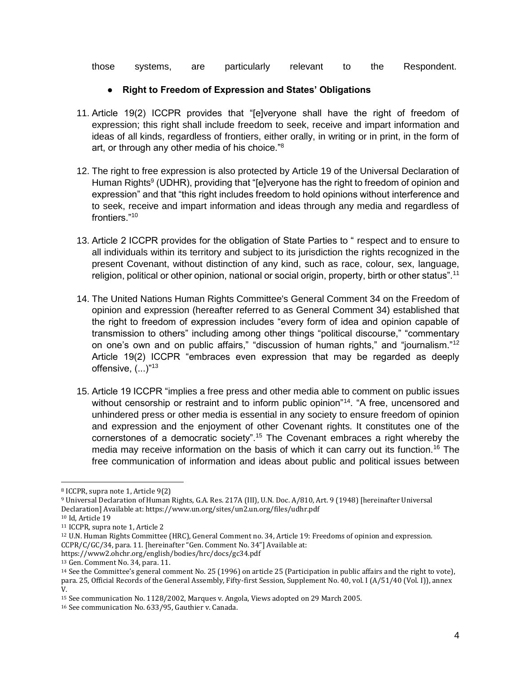those systems, are particularly relevant to the Respondent.

## ● **Right to Freedom of Expression and States' Obligations**

- 11. Article 19(2) ICCPR provides that "[e]veryone shall have the right of freedom of expression; this right shall include freedom to seek, receive and impart information and ideas of all kinds, regardless of frontiers, either orally, in writing or in print, in the form of art, or through any other media of his choice."<sup>8</sup>
- 12. The right to free expression is also protected by Article 19 of the Universal Declaration of Human Rights<sup>9</sup> (UDHR), providing that "[e]veryone has the right to freedom of opinion and expression" and that "this right includes freedom to hold opinions without interference and to seek, receive and impart information and ideas through any media and regardless of frontiers."<sup>10</sup>
- 13. Article 2 ICCPR provides for the obligation of State Parties to " respect and to ensure to all individuals within its territory and subject to its jurisdiction the rights recognized in the present Covenant, without distinction of any kind, such as race, colour, sex, language, religion, political or other opinion, national or social origin, property, birth or other status".<sup>11</sup>
- 14. The United Nations Human Rights Committee's General Comment 34 on the Freedom of opinion and expression (hereafter referred to as General Comment 34) established that the right to freedom of expression includes "every form of idea and opinion capable of transmission to others" including among other things "political discourse," "commentary on one's own and on public affairs," "discussion of human rights," and "journalism."<sup>12</sup> Article 19(2) ICCPR "embraces even expression that may be regarded as deeply offensive, (...)"<sup>13</sup>
- 15. Article 19 ICCPR "implies a free press and other media able to comment on public issues without censorship or restraint and to inform public opinion"<sup>14</sup>. "A free, uncensored and unhindered press or other media is essential in any society to ensure freedom of opinion and expression and the enjoyment of other Covenant rights. It constitutes one of the cornerstones of a democratic society".<sup>15</sup> The Covenant embraces a right whereby the media may receive information on the basis of which it can carry out its function.<sup>16</sup> The free communication of information and ideas about public and political issues between

 $\overline{a}$ <sup>8</sup> ICCPR, supra note 1, Article 9(2)

<sup>9</sup> Universal Declaration of Human Rights, G.A. Res. 217A (III), U.N. Doc. A/810, Art. 9 (1948) [hereinafter Universal Declaration] Available at[: https://www.un.org/sites/un2.un.org/files/udhr.pdf](https://www.un.org/sites/un2.un.org/files/udhr.pdf)

<sup>10</sup> Id, Article 19

<sup>11</sup> ICCPR, supra note 1, Article 2

<sup>12</sup> U.N. Human Rights Committee (HRC), General Comment no. 34, Article 19: Freedoms of opinion and expression. CCPR/C/GC/34, para. 11. [hereinafter "Gen. Comment No. 34"] Available at:

<https://www2.ohchr.org/english/bodies/hrc/docs/gc34.pdf>

<sup>13</sup> Gen. Comment No. 34, para. 11.

<sup>14</sup> See the Committee's general comment No. 25 (1996) on article 25 (Participation in public affairs and the right to vote), para. 25, Official Records of the General Assembly, Fifty-first Session, Supplement No. 40, vol. I (A/51/40 (Vol. I)), annex V.

<sup>15</sup> See communication No. 1128/2002, Marques v. Angola, Views adopted on 29 March 2005.

<sup>16</sup> See communication No. 633/95, Gauthier v. Canada.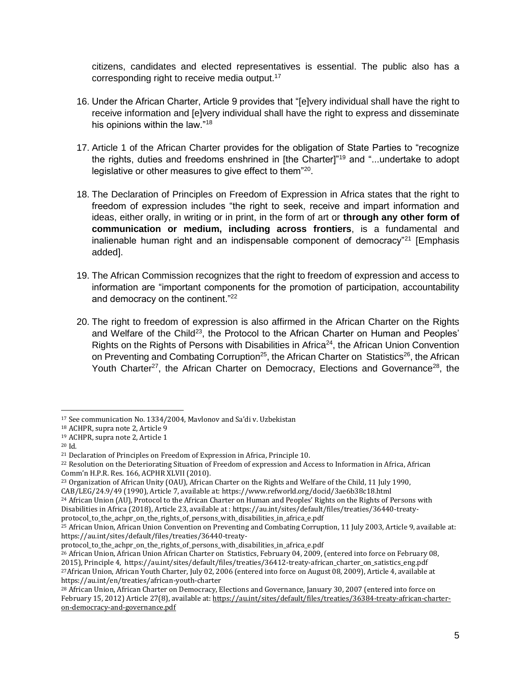citizens, candidates and elected representatives is essential. The public also has a corresponding right to receive media output.<sup>17</sup>

- 16. Under the African Charter, Article 9 provides that "[e]very individual shall have the right to receive information and [e]very individual shall have the right to express and disseminate his opinions within the law."<sup>18</sup>
- 17. Article 1 of the African Charter provides for the obligation of State Parties to "recognize the rights, duties and freedoms enshrined in [the Charter]"<sup>19</sup> and "...undertake to adopt legislative or other measures to give effect to them"<sup>20</sup>.
- 18. The Declaration of Principles on Freedom of Expression in Africa states that the right to freedom of expression includes "the right to seek, receive and impart information and ideas, either orally, in writing or in print, in the form of art or **through any other form of communication or medium, including across frontiers**, is a fundamental and inalienable human right and an indispensable component of democracy"<sup>21</sup> [Emphasis added].
- 19. The African Commission recognizes that the right to freedom of expression and access to information are "important components for the promotion of participation, accountability and democracy on the continent."<sup>22</sup>
- 20. The right to freedom of expression is also affirmed in the African Charter on the Rights and Welfare of the Child<sup>23</sup>, the Protocol to the African Charter on Human and Peoples' Rights on the Rights of Persons with Disabilities in Africa<sup>24</sup>, the African Union Convention on Preventing and Combating Corruption<sup>25</sup>, the African Charter on Statistics<sup>26</sup>, the African Youth Charter<sup>27</sup>, the African Charter on Democracy, Elections and Governance<sup>28</sup>, the

 $\overline{a}$ <sup>17</sup> See communication No. 1334/2004, Mavlonov and Sa'di v. Uzbekistan

<sup>18</sup> ACHPR, supra note 2, Article 9

<sup>19</sup> ACHPR, supra note 2, Article 1

<sup>20</sup> Id.

<sup>21</sup> Declaration of Principles on Freedom of Expression in Africa, Principle 10.

<sup>22</sup> Resolution on the Deteriorating Situation of Freedom of expression and Access to Information in Africa, African Comm'n H.P.R. Res. 166, ACPHR XLVII (2010).

<sup>23</sup> Organization of African Unity (OAU), African Charter on the Rights and Welfare of the Child, 11 July 1990,

CAB/LEG/24.9/49 (1990), Article 7, available at:<https://www.refworld.org/docid/3ae6b38c18.html>

<sup>24</sup> African Union (AU), Protocol to the African Charter on Human and Peoples' Rights on the Rights of Persons with Disabilities in Africa (2018), Article 23, available at [: https://au.int/sites/default/files/treaties/36440-treaty-](https://au.int/sites/default/files/treaties/36440-treaty-protocol_to_the_achpr_on_the_rights_of_persons_with_disabilities_in_africa_e.pdf)

[protocol\\_to\\_the\\_achpr\\_on\\_the\\_rights\\_of\\_persons\\_with\\_disabilities\\_in\\_africa\\_e.pdf](https://au.int/sites/default/files/treaties/36440-treaty-protocol_to_the_achpr_on_the_rights_of_persons_with_disabilities_in_africa_e.pdf)

<sup>25</sup> African Union, African Union Convention on Preventing and Combating Corruption, 11 July 2003, Article 9, available at: [https://au.int/sites/default/files/treaties/36440-treaty-](https://au.int/sites/default/files/treaties/36440-treaty-protocol_to_the_achpr_on_the_rights_of_persons_with_disabilities_in_africa_e.pdf)

[protocol\\_to\\_the\\_achpr\\_on\\_the\\_rights\\_of\\_persons\\_with\\_disabilities\\_in\\_africa\\_e.pdf](https://au.int/sites/default/files/treaties/36440-treaty-protocol_to_the_achpr_on_the_rights_of_persons_with_disabilities_in_africa_e.pdf)

<sup>26</sup> African Union, African Union African Charter on Statistics, February 04, 2009, (entered into force on February 08, 2015), Principle 4, [https://au.int/sites/default/files/treaties/36412-treaty-african\\_charter\\_on\\_satistics\\_eng.pdf](https://au.int/sites/default/files/treaties/36412-treaty-african_charter_on_satistics_eng.pdf)  <sup>27</sup>African Union, African Youth Charter, July 02, 2006 (entered into force on August 08, 2009), Article 4, available at <https://au.int/en/treaties/african-youth-charter>

<sup>28</sup> African Union, African Charter on Democracy, Elections and Governance, January 30, 2007 (entered into force on February 15, 2012) Article 27(8), available at[: https://au.int/sites/default/files/treaties/36384-treaty-african-charter](https://au.int/sites/default/files/treaties/36384-treaty-african-charter-on-democracy-and-governance.pdf)[on-democracy-and-governance.pdf](https://au.int/sites/default/files/treaties/36384-treaty-african-charter-on-democracy-and-governance.pdf)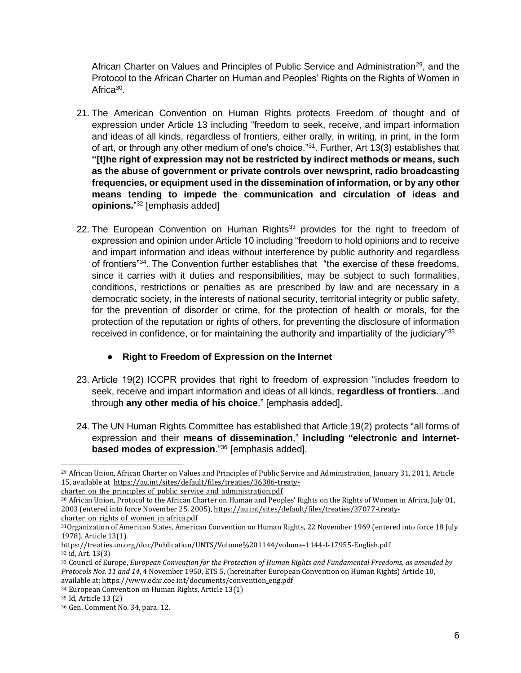African Charter on Values and Principles of Public Service and Administration<sup>29</sup>, and the Protocol to the African Charter on Human and Peoples' Rights on the Rights of Women in Africa<sup>30</sup>.

- 21. The American Convention on Human Rights protects Freedom of thought and of expression under Article 13 including "freedom to seek, receive, and impart information and ideas of all kinds, regardless of frontiers, either orally, in writing, in print, in the form of art, or through any other medium of one's choice."<sup>31</sup>. Further, Art 13(3) establishes that **"[t]he right of expression may not be restricted by indirect methods or means, such as the abuse of government or private controls over newsprint, radio broadcasting frequencies, or equipment used in the dissemination of information, or by any other means tending to impede the communication and circulation of ideas and opinions.**" <sup>32</sup> [emphasis added]
- 22. The European Convention on Human Rights<sup>33</sup> provides for the right to freedom of expression and opinion under Article 10 including "freedom to hold opinions and to receive and impart information and ideas without interference by public authority and regardless of frontiers"<sup>34</sup>. The Convention further establishes that "the exercise of these freedoms, since it carries with it duties and responsibilities, may be subject to such formalities, conditions, restrictions or penalties as are prescribed by law and are necessary in a democratic society, in the interests of national security, territorial integrity or public safety, for the prevention of disorder or crime, for the protection of health or morals, for the protection of the reputation or rights of others, for preventing the disclosure of information received in confidence, or for maintaining the authority and impartiality of the judiciary"<sup>35</sup>
	- **Right to Freedom of Expression on the Internet**
- 23. Article 19(2) ICCPR provides that right to freedom of expression "includes freedom to seek, receive and impart information and ideas of all kinds, **regardless of frontiers**...and through **any other media of his choice**." [emphasis added].
- 24. The UN Human Rights Committee has established that Article 19(2) protects "all forms of expression and their **means of dissemination**," **including "electronic and internetbased modes of expression**."<sup>36</sup> [emphasis added].

 $\overline{a}$ 

<sup>&</sup>lt;sup>29</sup> African Union, African Charter on Values and Principles of Public Service and Administration, January 31, 2011, Article 15, available at [https://au.int/sites/default/files/treaties/36386-treaty-](https://au.int/sites/default/files/treaties/36386-treaty-charter_on_the_principles_of_public_service_and_administration.pdf)

charter on the principles of public service and administration.pdf

<sup>30</sup> African Union, Protocol to the African Charter on Human and Peoples' Rights on the Rights of Women in Africa, July 01, 2003 (entered into force November 25, 2005)[, https://au.int/sites/default/files/treaties/37077-treaty](https://au.int/sites/default/files/treaties/37077-treaty-charter_on_rights_of_women_in_africa.pdf)charter on rights of women in africa.pdf

<sup>31</sup>Organization of American States, American Convention on Human Rights, 22 November 1969 (entered into force 18 July 1978). Article 13(1).

<https://treaties.un.org/doc/Publication/UNTS/Volume%201144/volume-1144-I-17955-English.pdf> <sup>32</sup> id, Art. 13(3)

<sup>33</sup> Council of Europe, *European Convention for the Protection of Human Rights and Fundamental Freedoms, as amended by Protocols Nos. 11 and 14*, 4 November 1950, ETS 5, (hereinafter European Convention on Human Rights) Article 10, available at[: https://www.echr.coe.int/documents/convention\\_eng.pdf](https://www.echr.coe.int/documents/convention_eng.pdf)

<sup>34</sup> European Convention on Human Rights, Article 13(1)

<sup>35</sup> Id, Article 13 (2)

<sup>36</sup> Gen. Comment No. 34, para. 12.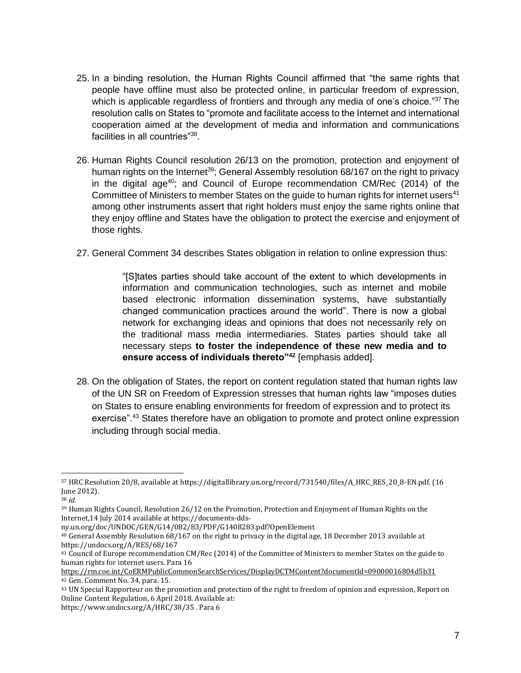- 25. In a binding resolution, the Human Rights Council affirmed that "the same rights that people have offline must also be protected online, in particular freedom of expression, which is applicable regardless of frontiers and through any media of one's choice."<sup>37</sup> The resolution calls on States to "promote and facilitate access to the Internet and international cooperation aimed at the development of media and information and communications facilities in all countries"<sup>38</sup>.
- 26. Human Rights Council resolution 26/13 on the promotion, protection and enjoyment of human rights on the Internet<sup>39</sup>; General Assembly resolution 68/167 on the right to privacy in the digital age<sup>40</sup>; and Council of Europe recommendation CM/Rec  $(2014)$  of the Committee of Ministers to member States on the quide to human rights for internet users<sup>41</sup> among other instruments assert that right holders must enjoy the same rights online that they enjoy offline and States have the obligation to protect the exercise and enjoyment of those rights.
- 27. General Comment 34 describes States obligation in relation to online expression thus:

"[S]tates parties should take account of the extent to which developments in information and communication technologies, such as internet and mobile based electronic information dissemination systems, have substantially changed communication practices around the world". There is now a global network for exchanging ideas and opinions that does not necessarily rely on the traditional mass media intermediaries. States parties should take all necessary steps **to foster the independence of these new media and to ensure access of individuals thereto"<sup>42</sup>** [emphasis added].

28. On the obligation of States, the report on content regulation stated that human rights law of the UN SR on Freedom of Expression stresses that human rights law "imposes duties on States to ensure enabling environments for freedom of expression and to protect its exercise".<sup>43</sup> States therefore have an obligation to promote and protect online expression including through social media.

 $\overline{a}$ 

<sup>37</sup> HRC Resolution 20/8, available a[t https://digitallibrary.un.org/record/731540/files/A\\_HRC\\_RES\\_20\\_8-EN.pdf.](https://digitallibrary.un.org/record/731540/files/A_HRC_RES_20_8-EN.pdf) (16 June 2012).

<sup>38</sup> *id.*

<sup>39</sup> Human Rights Council, Resolution 26/12 on the Promotion, Protection and Enjoyment of Human Rights on the Internet,14 July 2014 available at [https://documents-dds-](https://documents-dds-ny.un.org/doc/UNDOC/GEN/G14/082/83/PDF/G1408283.pdf?OpenElement)

[ny.un.org/doc/UNDOC/GEN/G14/082/83/PDF/G1408283.pdf?OpenElement](https://documents-dds-ny.un.org/doc/UNDOC/GEN/G14/082/83/PDF/G1408283.pdf?OpenElement)

<sup>40</sup> General Assembly Resolution 68/167 on the right to privacy in the digital age, 18 December 2013 available at <https://undocs.org/A/RES/68/167>

<sup>41</sup> Council of Europe recommendation CM/Rec (2014) of the Committee of Ministers to member States on the guide to human rights for internet users. Para 16

<https://rm.coe.int/CoERMPublicCommonSearchServices/DisplayDCTMContent?documentId=09000016804d5b31> <sup>42</sup> Gen. Comment No. 34, para. 15.

<sup>43</sup> UN Special Rapporteur on the promotion and protection of the right to freedom of opinion and expression, Report on Online Content Regulation, 6 April 2018. Available at:

<https://www.undocs.org/A/HRC/38/35> . Para 6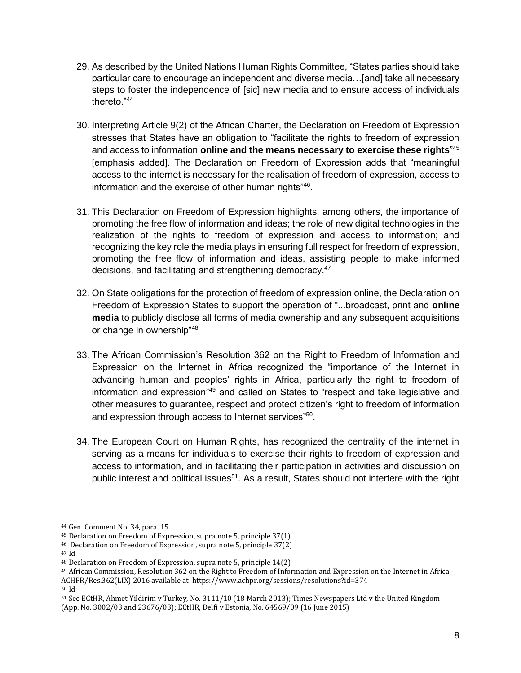- 29. As described by the United Nations Human Rights Committee, "States parties should take particular care to encourage an independent and diverse media…[and] take all necessary steps to foster the independence of [sic] new media and to ensure access of individuals thereto."44
- 30. Interpreting Article 9(2) of the African Charter, the Declaration on Freedom of Expression stresses that States have an obligation to "facilitate the rights to freedom of expression and access to information **online and the means necessary to exercise these rights**" 45 [emphasis added]. The Declaration on Freedom of Expression adds that "meaningful access to the internet is necessary for the realisation of freedom of expression, access to information and the exercise of other human rights"<sup>46</sup>.
- 31. This Declaration on Freedom of Expression highlights, among others, the importance of promoting the free flow of information and ideas; the role of new digital technologies in the realization of the rights to freedom of expression and access to information; and recognizing the key role the media plays in ensuring full respect for freedom of expression, promoting the free flow of information and ideas, assisting people to make informed decisions, and facilitating and strengthening democracy.<sup>47</sup>
- 32. On State obligations for the protection of freedom of expression online, the Declaration on Freedom of Expression States to support the operation of "...broadcast, print and **online media** to publicly disclose all forms of media ownership and any subsequent acquisitions or change in ownership"<sup>48</sup>
- 33. The African Commission's Resolution 362 on the Right to Freedom of Information and Expression on the Internet in Africa recognized the "importance of the Internet in advancing human and peoples' rights in Africa, particularly the right to freedom of information and expression"<sup>49</sup> and called on States to "respect and take legislative and other measures to guarantee, respect and protect citizen's right to freedom of information and expression through access to Internet services"<sup>50</sup>.
- 34. The European Court on Human Rights, has recognized the centrality of the internet in serving as a means for individuals to exercise their rights to freedom of expression and access to information, and in facilitating their participation in activities and discussion on public interest and political issues<sup>51</sup>. As a result, States should not interfere with the right

<sup>47</sup> Id

<sup>44</sup> Gen. Comment No. 34, para. 15.

<sup>45</sup> Declaration on Freedom of Expression, supra note 5, principle 37(1)

<sup>46</sup> Declaration on Freedom of Expression, supra note 5, principle 37(2)

<sup>48</sup> Declaration on Freedom of Expression, supra note 5, principle 14(2)

<sup>49</sup> African Commission, Resolution 362 on the Right to Freedom of Information and Expression on the Internet in Africa - ACHPR/Res.362(LIX) 2016 available at <https://www.achpr.org/sessions/resolutions?id=374> <sup>50</sup> Id

<sup>51</sup> See ECtHR, Ahmet Yildirim v Turkey, No. 3111/10 (18 March 2013); Times Newspapers Ltd v the United Kingdom (App. No. 3002/03 and 23676/03); ECtHR, Delfi v Estonia, No. 64569/09 (16 June 2015)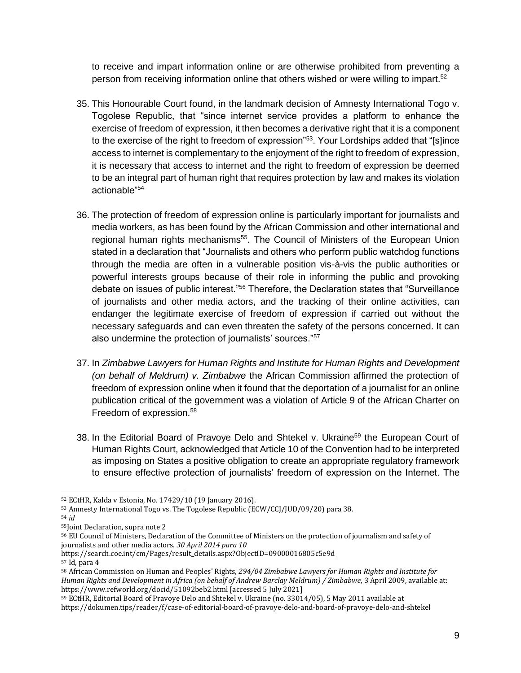to receive and impart information online or are otherwise prohibited from preventing a person from receiving information online that others wished or were willing to impart.<sup>52</sup>

- 35. This Honourable Court found, in the landmark decision of Amnesty International Togo v. Togolese Republic, that "since internet service provides a platform to enhance the exercise of freedom of expression, it then becomes a derivative right that it is a component to the exercise of the right to freedom of expression<sup>"53</sup>. Your Lordships added that "[s]ince access to internet is complementary to the enjoyment of the right to freedom of expression, it is necessary that access to internet and the right to freedom of expression be deemed to be an integral part of human right that requires protection by law and makes its violation actionable"<sup>54</sup>
- 36. The protection of freedom of expression online is particularly important for journalists and media workers, as has been found by the African Commission and other international and regional human rights mechanisms<sup>55</sup>. The Council of Ministers of the European Union stated in a declaration that "Journalists and others who perform public watchdog functions through the media are often in a vulnerable position vis-à-vis the public authorities or powerful interests groups because of their role in informing the public and provoking debate on issues of public interest."<sup>56</sup> Therefore, the Declaration states that "Surveillance of journalists and other media actors, and the tracking of their online activities, can endanger the legitimate exercise of freedom of expression if carried out without the necessary safeguards and can even threaten the safety of the persons concerned. It can also undermine the protection of journalists' sources."<sup>57</sup>
- 37. In *Zimbabwe Lawyers for Human Rights and Institute for Human Rights and Development (on behalf of Meldrum) v. Zimbabwe* the African Commission affirmed the protection of freedom of expression online when it found that the deportation of a journalist for an online publication critical of the government was a violation of Article 9 of the African Charter on Freedom of expression.<sup>58</sup>
- 38. In the Editorial Board of Pravoye Delo and Shtekel v. Ukraine<sup>59</sup> the European Court of Human Rights Court, acknowledged that Article 10 of the Convention had to be interpreted as imposing on States a positive obligation to create an appropriate regulatory framework to ensure effective protection of journalists' freedom of expression on the Internet. The

[https://search.coe.int/cm/Pages/result\\_details.aspx?ObjectID=09000016805c5e9d](https://search.coe.int/cm/Pages/result_details.aspx?ObjectID=09000016805c5e9d)

<sup>52</sup> ECtHR, Kalda v Estonia, No. 17429/10 (19 January 2016).

<sup>53</sup> Amnesty International Togo vs. The Togolese Republic (ECW/CCJ/JUD/09/20) para 38.

<sup>54</sup> *id*

<sup>55</sup>Joint Declaration, supra note 2

<sup>56</sup> EU Council of Ministers, Declaration of the Committee of Ministers on the protection of journalism and safety of journalists and other media actors. *30 April 2014 para 10* 

<sup>57</sup> Id, para 4

<sup>58</sup> African Commission on Human and Peoples' Rights, *294/04 Zimbabwe Lawyers for Human Rights and Institute for Human Rights and Development in Africa (on behalf of Andrew Barclay Meldrum) / Zimbabwe*, 3 April 2009, available at: https://www.refworld.org/docid/51092beb2.html [accessed 5 July 2021]

<sup>59</sup> ECtHR, Editorial Board of Pravoye Delo and Shtekel v. Ukraine (no. 33014/05), 5 May 2011 available at <https://dokumen.tips/reader/f/case-of-editorial-board-of-pravoye-delo-and-board-of-pravoye-delo-and-shtekel>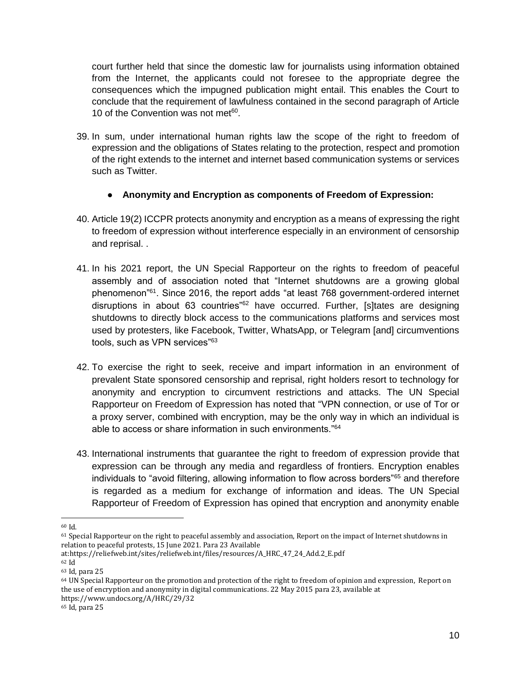court further held that since the domestic law for journalists using information obtained from the Internet, the applicants could not foresee to the appropriate degree the consequences which the impugned publication might entail. This enables the Court to conclude that the requirement of lawfulness contained in the second paragraph of Article 10 of the Convention was not met<sup>60</sup>.

39. In sum, under international human rights law the scope of the right to freedom of expression and the obligations of States relating to the protection, respect and promotion of the right extends to the internet and internet based communication systems or services such as Twitter.

### ● **Anonymity and Encryption as components of Freedom of Expression:**

- 40. Article 19(2) ICCPR protects anonymity and encryption as a means of expressing the right to freedom of expression without interference especially in an environment of censorship and reprisal. .
- 41. In his 2021 report, the UN Special Rapporteur on the rights to freedom of peaceful assembly and of association noted that "Internet shutdowns are a growing global phenomenon"<sup>61</sup>. Since 2016, the report adds "at least 768 government-ordered internet disruptions in about 63 countries<sup>"62</sup> have occurred. Further, [s]tates are designing shutdowns to directly block access to the communications platforms and services most used by protesters, like Facebook, Twitter, WhatsApp, or Telegram [and] circumventions tools, such as VPN services"<sup>63</sup>
- 42. To exercise the right to seek, receive and impart information in an environment of prevalent State sponsored censorship and reprisal, right holders resort to technology for anonymity and encryption to circumvent restrictions and attacks. The UN Special Rapporteur on Freedom of Expression has noted that "VPN connection, or use of Tor or a proxy server, combined with encryption, may be the only way in which an individual is able to access or share information in such environments."<sup>64</sup>
- 43. International instruments that guarantee the right to freedom of expression provide that expression can be through any media and regardless of frontiers. Encryption enables individuals to "avoid filtering, allowing information to flow across borders"<sup>65</sup> and therefore is regarded as a medium for exchange of information and ideas. The UN Special Rapporteur of Freedom of Expression has opined that encryption and anonymity enable

<sup>60</sup> Id.

 $61$  Special Rapporteur on the right to peaceful assembly and association, Report on the impact of Internet shutdowns in relation to peaceful protests, 15 June 2021. Para 23 Available

at[:https://reliefweb.int/sites/reliefweb.int/files/resources/A\\_HRC\\_47\\_24\\_Add.2\\_E.pdf](https://reliefweb.int/sites/reliefweb.int/files/resources/A_HRC_47_24_Add.2_E.pdf)

<sup>62</sup> Id

<sup>63</sup> Id, para 25

<sup>64</sup> UN Special Rapporteur on the promotion and protection of the right to freedom of opinion and expression, Report on the use of encryption and anonymity in digital communications. 22 May 2015 para 23, available at <https://www.undocs.org/A/HRC/29/32>

<sup>65</sup> Id, para 25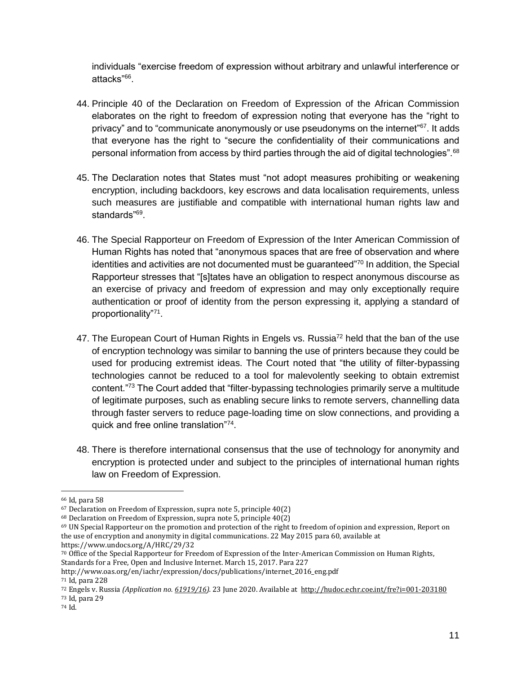individuals "exercise freedom of expression without arbitrary and unlawful interference or attacks"<sup>66</sup>.

- 44. Principle 40 of the Declaration on Freedom of Expression of the African Commission elaborates on the right to freedom of expression noting that everyone has the "right to privacy" and to "communicate anonymously or use pseudonyms on the internet"<sup>67</sup>. It adds that everyone has the right to "secure the confidentiality of their communications and personal information from access by third parties through the aid of digital technologies".<sup>68</sup>
- 45. The Declaration notes that States must "not adopt measures prohibiting or weakening encryption, including backdoors, key escrows and data localisation requirements, unless such measures are justifiable and compatible with international human rights law and standards"<sup>69</sup>.
- 46. The Special Rapporteur on Freedom of Expression of the Inter American Commission of Human Rights has noted that "anonymous spaces that are free of observation and where identities and activities are not documented must be guaranteed"<sup>70</sup> In addition, the Special Rapporteur stresses that "[s]tates have an obligation to respect anonymous discourse as an exercise of privacy and freedom of expression and may only exceptionally require authentication or proof of identity from the person expressing it, applying a standard of proportionality"71.
- 47. The European Court of Human Rights in Engels vs. Russia<sup>72</sup> held that the ban of the use of encryption technology was similar to banning the use of printers because they could be used for producing extremist ideas. The Court noted that "the utility of filter-bypassing technologies cannot be reduced to a tool for malevolently seeking to obtain extremist content."<sup>73</sup> The Court added that "filter-bypassing technologies primarily serve a multitude of legitimate purposes, such as enabling secure links to remote servers, channelling data through faster servers to reduce page-loading time on slow connections, and providing a quick and free online translation"74.
- 48. There is therefore international consensus that the use of technology for anonymity and encryption is protected under and subject to the principles of international human rights law on Freedom of Expression.

<sup>66</sup> Id, para 58

<sup>67</sup> Declaration on Freedom of Expression, supra note 5, principle 40(2)

<sup>68</sup> Declaration on Freedom of Expression, supra note 5, principle 40(2)

<sup>69</sup> UN Special Rapporteur on the promotion and protection of the right to freedom of opinion and expression, Report on the use of encryption and anonymity in digital communications. 22 May 2015 para 60, available at <https://www.undocs.org/A/HRC/29/32>

<sup>70</sup> Office of the Special Rapporteur for Freedom of Expression of the Inter-American Commission on Human Rights, Standards for a Free, Open and Inclusive Internet. March 15, 2017. Para 227

[http://www.oas.org/en/iachr/expression/docs/publications/internet\\_2016\\_eng.pdf](http://www.oas.org/en/iachr/expression/docs/publications/internet_2016_eng.pdf) 

<sup>71</sup> Id, para 228

<sup>72</sup> Engels v. Russia *(Application no[. 61919/16\)](https://hudoc.echr.coe.int/eng#%7B%22appno%22:%5B%2261919/16%22%5D%7D).* 23 June 2020. Available at<http://hudoc.echr.coe.int/fre?i=001-203180> <sup>73</sup> Id, para 29

<sup>74</sup> Id.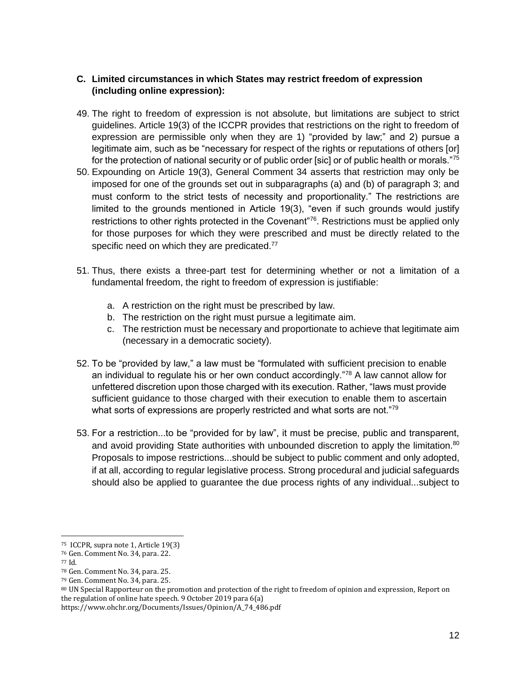## **C. Limited circumstances in which States may restrict freedom of expression (including online expression):**

- 49. The right to freedom of expression is not absolute, but limitations are subject to strict guidelines. Article 19(3) of the ICCPR provides that restrictions on the right to freedom of expression are permissible only when they are 1) "provided by law;" and 2) pursue a legitimate aim, such as be "necessary for respect of the rights or reputations of others [or] for the protection of national security or of public order [sic] or of public health or morals."<sup>75</sup>
- 50. Expounding on Article 19(3), General Comment 34 asserts that restriction may only be imposed for one of the grounds set out in subparagraphs (a) and (b) of paragraph 3; and must conform to the strict tests of necessity and proportionality." The restrictions are limited to the grounds mentioned in Article 19(3), "even if such grounds would justify restrictions to other rights protected in the Covenant<sup>"76</sup>. Restrictions must be applied only for those purposes for which they were prescribed and must be directly related to the specific need on which they are predicated.<sup>77</sup>
- 51. Thus, there exists a three-part test for determining whether or not a limitation of a fundamental freedom, the right to freedom of expression is justifiable:
	- a. A restriction on the right must be prescribed by law.
	- b. The restriction on the right must pursue a legitimate aim.
	- c. The restriction must be necessary and proportionate to achieve that legitimate aim (necessary in a democratic society).
- 52. To be "provided by law," a law must be "formulated with sufficient precision to enable an individual to regulate his or her own conduct accordingly."<sup>78</sup> A law cannot allow for unfettered discretion upon those charged with its execution. Rather, "laws must provide sufficient guidance to those charged with their execution to enable them to ascertain what sorts of expressions are properly restricted and what sorts are not. $179$
- 53. For a restriction...to be "provided for by law", it must be precise, public and transparent, and avoid providing State authorities with unbounded discretion to apply the limitation.<sup>80</sup> Proposals to impose restrictions...should be subject to public comment and only adopted, if at all, according to regular legislative process. Strong procedural and judicial safeguards should also be applied to guarantee the due process rights of any individual...subject to

 $\overline{a}$ 

[https://www.ohchr.org/Documents/Issues/Opinion/A\\_74\\_486.pdf](https://www.ohchr.org/Documents/Issues/Opinion/A_74_486.pdf)

<sup>75</sup> ICCPR, supra note 1, Article 19(3)

<sup>76</sup> Gen. Comment No. 34, para. 22.

<sup>77</sup> Id.

<sup>78</sup> Gen. Comment No. 34, para. 25.

<sup>79</sup> Gen. Comment No. 34, para. 25.

<sup>80</sup> UN Special Rapporteur on the promotion and protection of the right to freedom of opinion and expression, Report on the regulation of online hate speech. 9 October 2019 para 6(a)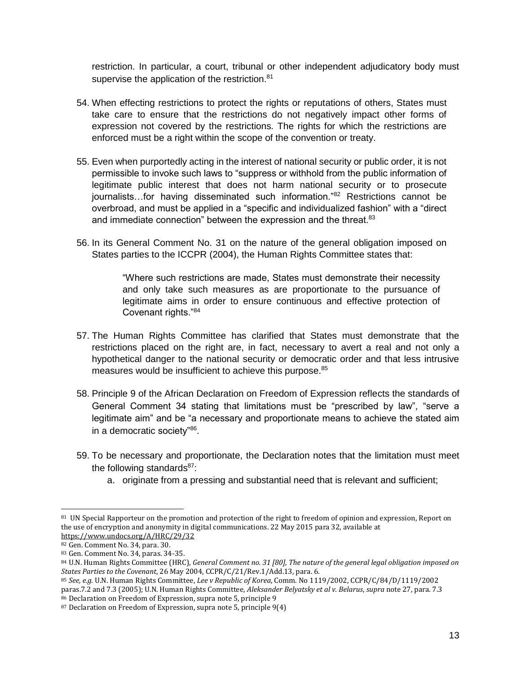restriction. In particular, a court, tribunal or other independent adjudicatory body must supervise the application of the restriction.<sup>81</sup>

- 54. When effecting restrictions to protect the rights or reputations of others, States must take care to ensure that the restrictions do not negatively impact other forms of expression not covered by the restrictions. The rights for which the restrictions are enforced must be a right within the scope of the convention or treaty.
- 55. Even when purportedly acting in the interest of national security or public order, it is not permissible to invoke such laws to "suppress or withhold from the public information of legitimate public interest that does not harm national security or to prosecute journalists...for having disseminated such information."<sup>82</sup> Restrictions cannot be overbroad, and must be applied in a "specific and individualized fashion" with a "direct and immediate connection" between the expression and the threat.<sup>83</sup>
- 56. In its General Comment No. 31 on the nature of the general obligation imposed on States parties to the ICCPR (2004), the Human Rights Committee states that:

"Where such restrictions are made, States must demonstrate their necessity and only take such measures as are proportionate to the pursuance of legitimate aims in order to ensure continuous and effective protection of Covenant rights."<sup>84</sup>

- 57. The Human Rights Committee has clarified that States must demonstrate that the restrictions placed on the right are, in fact, necessary to avert a real and not only a hypothetical danger to the national security or democratic order and that less intrusive measures would be insufficient to achieve this purpose.<sup>85</sup>
- 58. Principle 9 of the African Declaration on Freedom of Expression reflects the standards of General Comment 34 stating that limitations must be "prescribed by law", "serve a legitimate aim" and be "a necessary and proportionate means to achieve the stated aim in a democratic society"86.
- 59. To be necessary and proportionate, the Declaration notes that the limitation must meet the following standards $87$ :
	- a. originate from a pressing and substantial need that is relevant and sufficient;

<sup>&</sup>lt;sup>81</sup> UN Special Rapporteur on the promotion and protection of the right to freedom of opinion and expression, Report on the use of encryption and anonymity in digital communications. 22 May 2015 para 32, available at <https://www.undocs.org/A/HRC/29/32>

<sup>82</sup> Gen. Comment No. 34, para. 30.

<sup>83</sup> Gen. Comment No. 34, paras. 34-35.

<sup>84</sup> U.N. Human Rights Committee (HRC), *General Comment no. 31 [80], The nature of the general legal obligation imposed on States Parties to the Covenant*, 26 May 2004, CCPR/C/21/Rev.1/Add.13*,* para. 6.

<sup>85</sup> *See, e.g*. U.N. Human Rights Committee, *Lee v Republic of Korea*, Comm. No 1119/2002, CCPR/C/84/D/1119/2002 paras.7.2 and 7.3 (2005); U.N. Human Rights Committee, *Aleksander Belyatsky et al v. Belarus*, *supra* note 27, para. 7.3 <sup>86</sup> Declaration on Freedom of Expression, supra note 5, principle 9

 $87$  Declaration on Freedom of Expression, supra note 5, principle 9(4)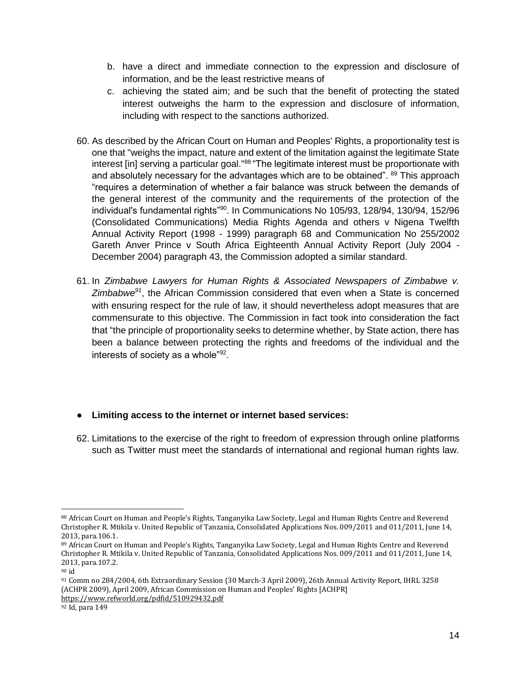- b. have a direct and immediate connection to the expression and disclosure of information, and be the least restrictive means of
- c. achieving the stated aim; and be such that the benefit of protecting the stated interest outweighs the harm to the expression and disclosure of information, including with respect to the sanctions authorized.
- 60. As described by the African Court on Human and Peoples' Rights, a proportionality test is one that "weighs the impact, nature and extent of the limitation against the legitimate State interest [in] serving a particular goal."<sup>88</sup> "The legitimate interest must be proportionate with and absolutely necessary for the advantages which are to be obtained". <sup>89</sup> This approach "requires a determination of whether a fair balance was struck between the demands of the general interest of the community and the requirements of the protection of the individual's fundamental rights"<sup>90</sup> . In Communications No 105/93, 128/94, 130/94, 152/96 (Consolidated Communications) Media Rights Agenda and others v Nigena Twelfth Annual Activity Report (1998 - 1999) paragraph 68 and Communication No 255/2002 Gareth Anver Prince v South Africa Eighteenth Annual Activity Report (July 2004 - December 2004) paragraph 43, the Commission adopted a similar standard.
- 61. In *Zimbabwe Lawyers for Human Rights & Associated Newspapers of Zimbabwe v. Zimbabwe<sup>91</sup>*, the African Commission considered that even when a State is concerned with ensuring respect for the rule of law, it should nevertheless adopt measures that are commensurate to this objective. The Commission in fact took into consideration the fact that "the principle of proportionality seeks to determine whether, by State action, there has been a balance between protecting the rights and freedoms of the individual and the interests of society as a whole"<sup>92</sup>.

## ● **Limiting access to the internet or internet based services:**

62. Limitations to the exercise of the right to freedom of expression through online platforms such as Twitter must meet the standards of international and regional human rights law.

<sup>91</sup> Comm no 284/2004, 6th Extraordinary Session (30 March-3 April 2009), 26th Annual Activity Report, IHRL 3258 (ACHPR 2009), April 2009, African Commission on Human and Peoples' Rights [ACHPR] <https://www.refworld.org/pdfid/510929432.pdf>

 88 African Court on Human and People's Rights, Tanganyika Law Society, Legal and Human Rights Centre and Reverend Christopher R. Mtikila v. United Republic of Tanzania, Consolidated Applications Nos. 009/2011 and 011/2011, June 14, 2013, para.106.1.

<sup>89</sup> African Court on Human and People's Rights, Tanganyika Law Society, Legal and Human Rights Centre and Reverend Christopher R. Mtikila v. United Republic of Tanzania, Consolidated Applications Nos. 009/2011 and 011/2011, June 14, 2013, para.107.2.

<sup>90</sup> id

<sup>92</sup> Id, para 149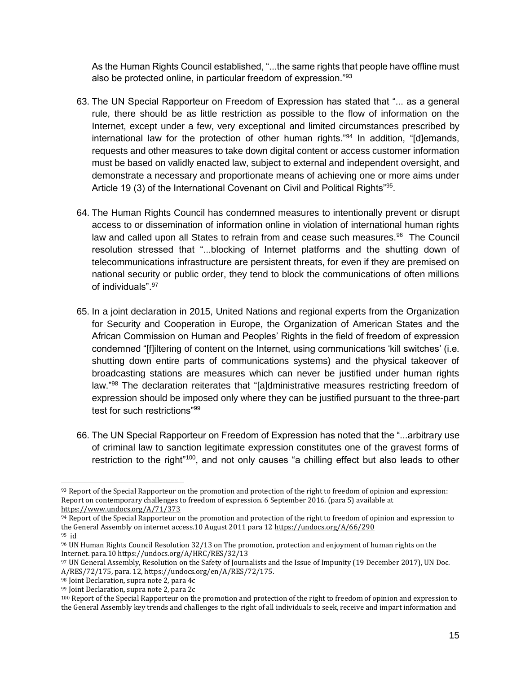As the Human Rights Council established, "...the same rights that people have offline must also be protected online, in particular freedom of expression."<sup>93</sup>

- 63. The UN Special Rapporteur on Freedom of Expression has stated that "... as a general rule, there should be as little restriction as possible to the flow of information on the Internet, except under a few, very exceptional and limited circumstances prescribed by international law for the protection of other human rights."<sup>94</sup> In addition, "[d]emands, requests and other measures to take down digital content or access customer information must be based on validly enacted law, subject to external and independent oversight, and demonstrate a necessary and proportionate means of achieving one or more aims under Article 19 (3) of the International Covenant on Civil and Political Rights"<sup>95</sup>.
- 64. The Human Rights Council has condemned measures to intentionally prevent or disrupt access to or dissemination of information online in violation of international human rights law and called upon all States to refrain from and cease such measures.<sup>96</sup> The Council resolution stressed that "...blocking of Internet platforms and the shutting down of telecommunications infrastructure are persistent threats, for even if they are premised on national security or public order, they tend to block the communications of often millions of individuals" 97
- 65. In a joint declaration in 2015, United Nations and regional experts from the Organization for Security and Cooperation in Europe, the Organization of American States and the African Commission on Human and Peoples' Rights in the field of freedom of expression condemned "[f]iltering of content on the Internet, using communications 'kill switches' (i.e. shutting down entire parts of communications systems) and the physical takeover of broadcasting stations are measures which can never be justified under human rights law."<sup>98</sup> The declaration reiterates that "[a]dministrative measures restricting freedom of expression should be imposed only where they can be justified pursuant to the three-part test for such restrictions"<sup>99</sup>
- 66. The UN Special Rapporteur on Freedom of Expression has noted that the "...arbitrary use of criminal law to sanction legitimate expression constitutes one of the gravest forms of restriction to the right"<sup>100</sup>, and not only causes "a chilling effect but also leads to other

<sup>98</sup> Joint Declaration, supra note 2, para 4c

 $\overline{a}$ 93 Report of the Special Rapporteur on the promotion and protection of the right to freedom of opinion and expression: Report on contemporary challenges to freedom of expression. 6 September 2016. (para 5) available at <https://www.undocs.org/A/71/373>

 $94$  Report of the Special Rapporteur on the promotion and protection of the right to freedom of opinion and expression to the General Assembly on internet access.10 August 2011 para 1[2 https://undocs.org/A/66/290](https://undocs.org/A/66/290) <sup>95</sup> id

<sup>96</sup> UN Human Rights Council Resolution 32/13 on The promotion, protection and enjoyment of human rights on the Internet. para.10 <https://undocs.org/A/HRC/RES/32/13>

<sup>97</sup> UN General Assembly, Resolution on the Safety of Journalists and the Issue of Impunity (19 December 2017), UN Doc. A/RES/72/175, para. 12, https://undocs.org/en/A/RES/72/175.

<sup>99</sup> Joint Declaration, supra note 2, para 2c

<sup>100</sup> Report of the Special Rapporteur on the promotion and protection of the right to freedom of opinion and expression to the General Assembly key trends and challenges to the right of all individuals to seek, receive and impart information and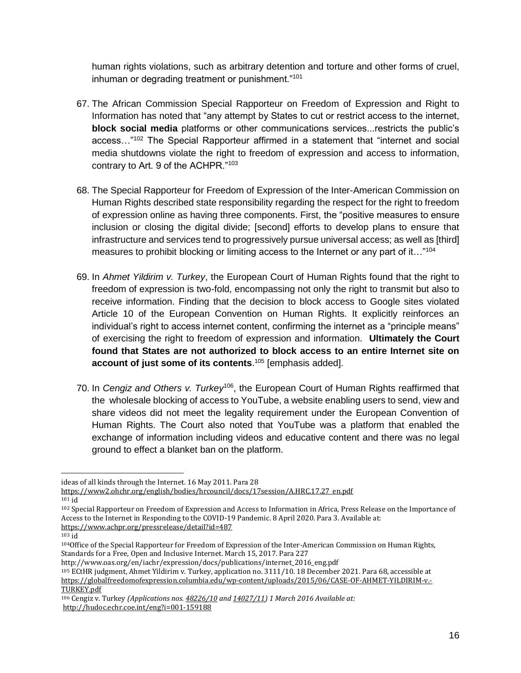human rights violations, such as arbitrary detention and torture and other forms of cruel, inhuman or degrading treatment or punishment."<sup>101</sup>

- 67. The African Commission Special Rapporteur on Freedom of Expression and Right to Information has noted that "any attempt by States to cut or restrict access to the internet, **block social media** platforms or other communications services...restricts the public's access..."<sup>102</sup> The Special Rapporteur affirmed in a statement that "internet and social media shutdowns violate the right to freedom of expression and access to information, contrary to Art. 9 of the ACHPR."<sup>103</sup>
- 68. The Special Rapporteur for Freedom of Expression of the Inter-American Commission on Human Rights described state responsibility regarding the respect for the right to freedom of expression online as having three components. First, the "positive measures to ensure inclusion or closing the digital divide; [second] efforts to develop plans to ensure that infrastructure and services tend to progressively pursue universal access; as well as [third] measures to prohibit blocking or limiting access to the Internet or any part of it..."104
- 69. In *Ahmet Yildirim v. Turkey*, the European Court of Human Rights found that the right to freedom of expression is two-fold, encompassing not only the right to transmit but also to receive information. Finding that the decision to block access to Google sites violated Article 10 of the European Convention on Human Rights. It explicitly reinforces an individual's right to access internet content, confirming the internet as a "principle means" of exercising the right to freedom of expression and information. **Ultimately the Court found that States are not authorized to block access to an entire Internet site on account of just some of its contents**. <sup>105</sup> [emphasis added].
- 70. In *Cengiz and Others v. Turkey*<sup>106</sup>, the European Court of Human Rights reaffirmed that the wholesale blocking of access to YouTube, a website enabling users to send, view and share videos did not meet the legality requirement under the European Convention of Human Rights. The Court also noted that YouTube was a platform that enabled the exchange of information including videos and educative content and there was no legal ground to effect a blanket ban on the platform.

 $\overline{a}$ 

ideas of all kinds through the Internet. 16 May 2011. Para 28

[https://www2.ohchr.org/english/bodies/hrcouncil/docs/17session/A.HRC.17.27\\_en.pdf](https://www2.ohchr.org/english/bodies/hrcouncil/docs/17session/A.HRC.17.27_en.pdf)

<sup>101</sup> id

<sup>102</sup> Special Rapporteur on Freedom of Expression and Access to Information in Africa, Press Release on the Importance of Access to the Internet in Responding to the COVID-19 Pandemic. 8 April 2020. Para 3. Available at: <https://www.achpr.org/pressrelease/detail?id=487>

<sup>103</sup> id

<sup>104</sup>Office of the Special Rapporteur for Freedom of Expression of the Inter-American Commission on Human Rights, Standards for a Free, Open and Inclusive Internet. March 15, 2017. Para 227

[http://www.oas.org/en/iachr/expression/docs/publications/internet\\_2016\\_eng.pdf](http://www.oas.org/en/iachr/expression/docs/publications/internet_2016_eng.pdf) 

<sup>105</sup> ECtHR judgment, Ahmet Yildirim v. Turkey, application no. 3111/10. 18 December 2021. Para 68, accessible at [https://globalfreedomofexpression.columbia.edu/wp-content/uploads/2015/06/CASE-OF-AHMET-YILDIRIM-v.-](https://globalfreedomofexpression.columbia.edu/wp-content/uploads/2015/06/CASE-OF-AHMET-YILDIRIM-v.-TURKEY.pdf) [TURKEY.pdf](https://globalfreedomofexpression.columbia.edu/wp-content/uploads/2015/06/CASE-OF-AHMET-YILDIRIM-v.-TURKEY.pdf)

<sup>106</sup> Cengi̇z v. Turkey *(Applications nos[. 48226/10](https://hudoc.echr.coe.int/eng#%7B%22appno%22:%5B%2248226/10%22%5D%7D) an[d 14027/11\)](https://hudoc.echr.coe.int/eng#%7B%22appno%22:%5B%2214027/11%22%5D%7D) 1 March 2016 Available at:*  <http://hudoc.echr.coe.int/eng?i=001-159188>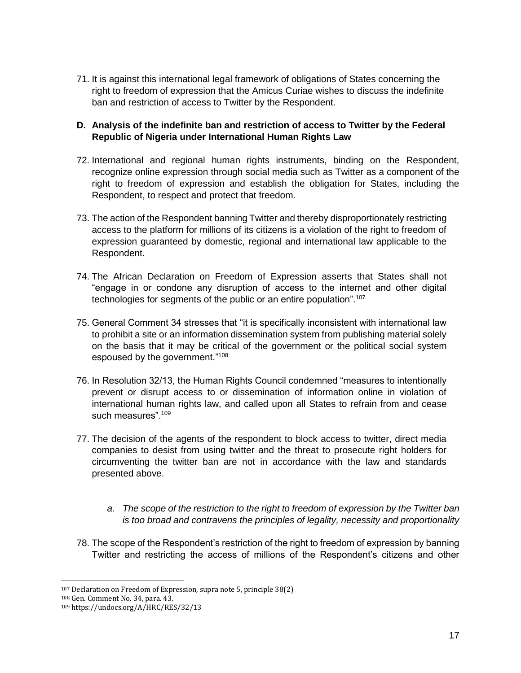71. It is against this international legal framework of obligations of States concerning the right to freedom of expression that the Amicus Curiae wishes to discuss the indefinite ban and restriction of access to Twitter by the Respondent.

### **D. Analysis of the indefinite ban and restriction of access to Twitter by the Federal Republic of Nigeria under International Human Rights Law**

- 72. International and regional human rights instruments, binding on the Respondent, recognize online expression through social media such as Twitter as a component of the right to freedom of expression and establish the obligation for States, including the Respondent, to respect and protect that freedom.
- 73. The action of the Respondent banning Twitter and thereby disproportionately restricting access to the platform for millions of its citizens is a violation of the right to freedom of expression guaranteed by domestic, regional and international law applicable to the Respondent.
- 74. The African Declaration on Freedom of Expression asserts that States shall not "engage in or condone any disruption of access to the internet and other digital technologies for segments of the public or an entire population".<sup>107</sup>
- 75. General Comment 34 stresses that "it is specifically inconsistent with international law to prohibit a site or an information dissemination system from publishing material solely on the basis that it may be critical of the government or the political social system espoused by the government."<sup>108</sup>
- 76. In Resolution 32/13, the Human Rights Council condemned "measures to intentionally prevent or disrupt access to or dissemination of information online in violation of international human rights law, and called upon all States to refrain from and cease such measures".<sup>109</sup>
- 77. The decision of the agents of the respondent to block access to twitter, direct media companies to desist from using twitter and the threat to prosecute right holders for circumventing the twitter ban are not in accordance with the law and standards presented above.
	- *a. The scope of the restriction to the right to freedom of expression by the Twitter ban is too broad and contravens the principles of legality, necessity and proportionality*
- 78. The scope of the Respondent's restriction of the right to freedom of expression by banning Twitter and restricting the access of millions of the Respondent's citizens and other

 <sup>107</sup> Declaration on Freedom of Expression, supra note 5, principle 38(2)

<sup>108</sup> Gen. Comment No. 34, para. 43.

<sup>109</sup> https://undocs.org/A/HRC/RES/32/13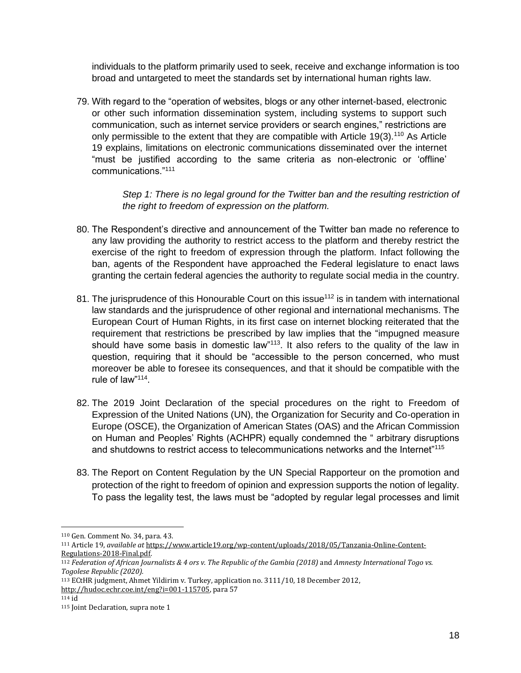individuals to the platform primarily used to seek, receive and exchange information is too broad and untargeted to meet the standards set by international human rights law.

79. With regard to the "operation of websites, blogs or any other internet-based, electronic or other such information dissemination system, including systems to support such communication, such as internet service providers or search engines," restrictions are only permissible to the extent that they are compatible with Article 19(3).<sup>110</sup> As Article 19 explains, limitations on electronic communications disseminated over the internet "must be justified according to the same criteria as non-electronic or 'offline' communications."<sup>111</sup>

> *Step 1: There is no legal ground for the Twitter ban and the resulting restriction of the right to freedom of expression on the platform.*

- 80. The Respondent's directive and announcement of the Twitter ban made no reference to any law providing the authority to restrict access to the platform and thereby restrict the exercise of the right to freedom of expression through the platform. Infact following the ban, agents of the Respondent have approached the Federal legislature to enact laws granting the certain federal agencies the authority to regulate social media in the country.
- 81. The jurisprudence of this Honourable Court on this issue<sup>112</sup> is in tandem with international law standards and the jurisprudence of other regional and international mechanisms. The European Court of Human Rights, in its first case on internet blocking reiterated that the requirement that restrictions be prescribed by law implies that the "impugned measure should have some basis in domestic law"<sup>113</sup>. It also refers to the quality of the law in question, requiring that it should be "accessible to the person concerned, who must moreover be able to foresee its consequences, and that it should be compatible with the rule of law"<sup>114</sup>.
- 82. The 2019 Joint Declaration of the special procedures on the right to Freedom of Expression of the United Nations (UN), the Organization for Security and Co-operation in Europe (OSCE), the Organization of American States (OAS) and the African Commission on Human and Peoples' Rights (ACHPR) equally condemned the " arbitrary disruptions and shutdowns to restrict access to telecommunications networks and the Internet"<sup>115</sup>
- 83. The Report on Content Regulation by the UN Special Rapporteur on the promotion and protection of the right to freedom of opinion and expression supports the notion of legality. To pass the legality test, the laws must be "adopted by regular legal processes and limit

<sup>110</sup> Gen. Comment No. 34, para. 43.

<sup>111</sup> Article 19, *available at* [https://www.article19.org/wp-content/uploads/2018/05/Tanzania-Online-Content-](https://www.article19.org/wp-content/uploads/2018/05/Tanzania-Online-Content-Regulations-2018-Final.pdf)[Regulations-2018-Final.pdf.](https://www.article19.org/wp-content/uploads/2018/05/Tanzania-Online-Content-Regulations-2018-Final.pdf)

<sup>112</sup> *Federation of African Journalists & 4 ors v. The Republic of the Gambia (2018)* and *Amnesty International Togo vs. Togolese Republic (2020).*

<sup>113</sup> ECtHR judgment, Ahmet Yildirim v. Turkey, application no. 3111/10, 18 December 2012,

[http://hudoc.echr.coe.int/eng?i=001-115705,](http://hudoc.echr.coe.int/eng?i=001-115705) para 57

<sup>114</sup> id

<sup>115</sup> Joint Declaration, supra note 1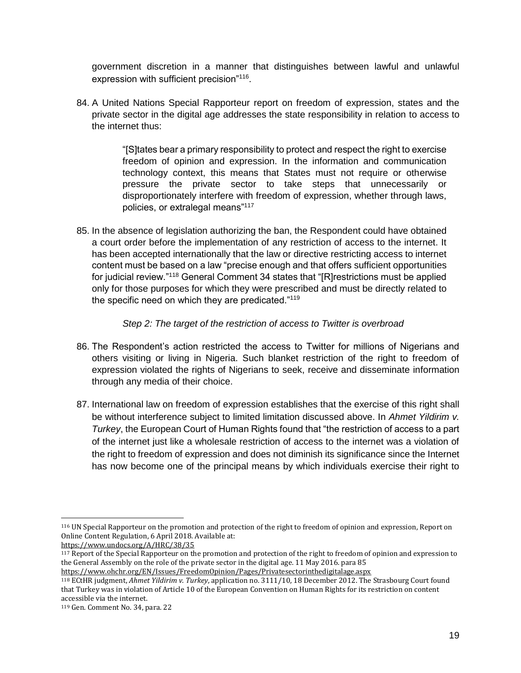government discretion in a manner that distinguishes between lawful and unlawful expression with sufficient precision"<sup>116</sup>.

84. A United Nations Special Rapporteur report on freedom of expression, states and the private sector in the digital age addresses the state responsibility in relation to access to the internet thus:

> "[S]tates bear a primary responsibility to protect and respect the right to exercise freedom of opinion and expression. In the information and communication technology context, this means that States must not require or otherwise pressure the private sector to take steps that unnecessarily or disproportionately interfere with freedom of expression, whether through laws, policies, or extralegal means"<sup>117</sup>

85. In the absence of legislation authorizing the ban, the Respondent could have obtained a court order before the implementation of any restriction of access to the internet. It has been accepted internationally that the law or directive restricting access to internet content must be based on a law "precise enough and that offers sufficient opportunities for judicial review."<sup>118</sup> General Comment 34 states that "[R]restrictions must be applied only for those purposes for which they were prescribed and must be directly related to the specific need on which they are predicated."<sup>119</sup>

### *Step 2: The target of the restriction of access to Twitter is overbroad*

- 86. The Respondent's action restricted the access to Twitter for millions of Nigerians and others visiting or living in Nigeria. Such blanket restriction of the right to freedom of expression violated the rights of Nigerians to seek, receive and disseminate information through any media of their choice.
- 87. International law on freedom of expression establishes that the exercise of this right shall be without interference subject to limited limitation discussed above. In *Ahmet Yildirim v. Turkey*, the European Court of Human Rights found that "the restriction of access to a part of the internet just like a wholesale restriction of access to the internet was a violation of the right to freedom of expression and does not diminish its significance since the Internet has now become one of the principal means by which individuals exercise their right to

<sup>116</sup> UN Special Rapporteur on the promotion and protection of the right to freedom of opinion and expression, Report on Online Content Regulation, 6 April 2018. Available at:

<https://www.undocs.org/A/HRC/38/35>

<sup>117</sup> Report of the Special Rapporteur on the promotion and protection of the right to freedom of opinion and expression to the General Assembly on the role of the private sector in the digital age. 11 May 2016. para 85 <https://www.ohchr.org/EN/Issues/FreedomOpinion/Pages/Privatesectorinthedigitalage.aspx>

<sup>118</sup> ECtHR judgment, *Ahmet Yildirim v. Turkey*, application no. 3111/10, 18 December 2012. The Strasbourg Court found that Turkey was in violation of Article 10 of the European Convention on Human Rights for its restriction on content accessible via the internet.

<sup>119</sup> Gen. Comment No. 34, para. 22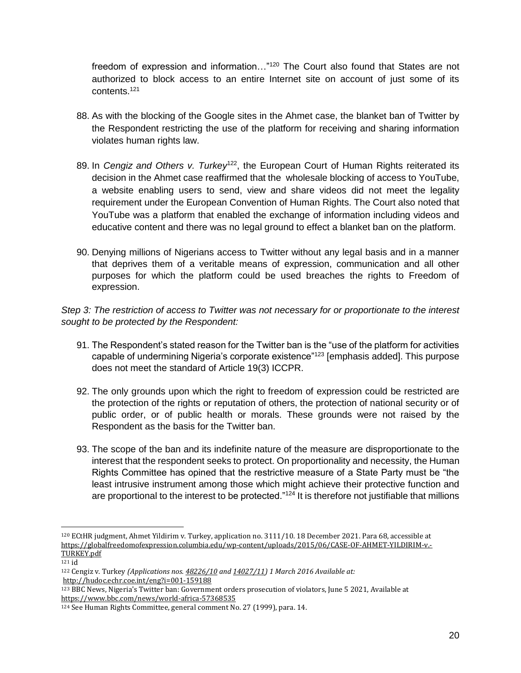freedom of expression and information..."<sup>120</sup> The Court also found that States are not authorized to block access to an entire Internet site on account of just some of its contents.<sup>121</sup>

- 88. As with the blocking of the Google sites in the Ahmet case, the blanket ban of Twitter by the Respondent restricting the use of the platform for receiving and sharing information violates human rights law.
- 89. In *Cengiz and Others v. Turkey*<sup>122</sup>, the European Court of Human Rights reiterated its decision in the Ahmet case reaffirmed that the wholesale blocking of access to YouTube, a website enabling users to send, view and share videos did not meet the legality requirement under the European Convention of Human Rights. The Court also noted that YouTube was a platform that enabled the exchange of information including videos and educative content and there was no legal ground to effect a blanket ban on the platform.
- 90. Denying millions of Nigerians access to Twitter without any legal basis and in a manner that deprives them of a veritable means of expression, communication and all other purposes for which the platform could be used breaches the rights to Freedom of expression.

*Step 3: The restriction of access to Twitter was not necessary for or proportionate to the interest sought to be protected by the Respondent:*

- 91. The Respondent's stated reason for the Twitter ban is the "use of the platform for activities capable of undermining Nigeria's corporate existence"<sup>123</sup> [emphasis added]. This purpose does not meet the standard of Article 19(3) ICCPR.
- 92. The only grounds upon which the right to freedom of expression could be restricted are the protection of the rights or reputation of others, the protection of national security or of public order, or of public health or morals. These grounds were not raised by the Respondent as the basis for the Twitter ban.
- 93. The scope of the ban and its indefinite nature of the measure are disproportionate to the interest that the respondent seeks to protect. On proportionality and necessity, the Human Rights Committee has opined that the restrictive measure of a State Party must be "the least intrusive instrument among those which might achieve their protective function and are proportional to the interest to be protected." $124$  It is therefore not justifiable that millions

<sup>120</sup> ECtHR judgment, Ahmet Yildirim v. Turkey, application no. 3111/10. 18 December 2021. Para 68, accessible at [https://globalfreedomofexpression.columbia.edu/wp-content/uploads/2015/06/CASE-OF-AHMET-YILDIRIM-v.-](https://globalfreedomofexpression.columbia.edu/wp-content/uploads/2015/06/CASE-OF-AHMET-YILDIRIM-v.-TURKEY.pdf) [TURKEY.pdf](https://globalfreedomofexpression.columbia.edu/wp-content/uploads/2015/06/CASE-OF-AHMET-YILDIRIM-v.-TURKEY.pdf)

 $121$  id

<sup>122</sup> Cengi̇z v. Turkey *(Applications nos[. 48226/10](https://hudoc.echr.coe.int/eng#%7B%22appno%22:%5B%2248226/10%22%5D%7D) an[d 14027/11\)](https://hudoc.echr.coe.int/eng#%7B%22appno%22:%5B%2214027/11%22%5D%7D) 1 March 2016 Available at:*  <http://hudoc.echr.coe.int/eng?i=001-159188>

<sup>123</sup> BBC News, Nigeria's Twitter ban: Government orders prosecution of violators, June 5 2021, Available at <https://www.bbc.com/news/world-africa-57368535>

<sup>124</sup> See Human Rights Committee, general comment No. 27 (1999), para. 14.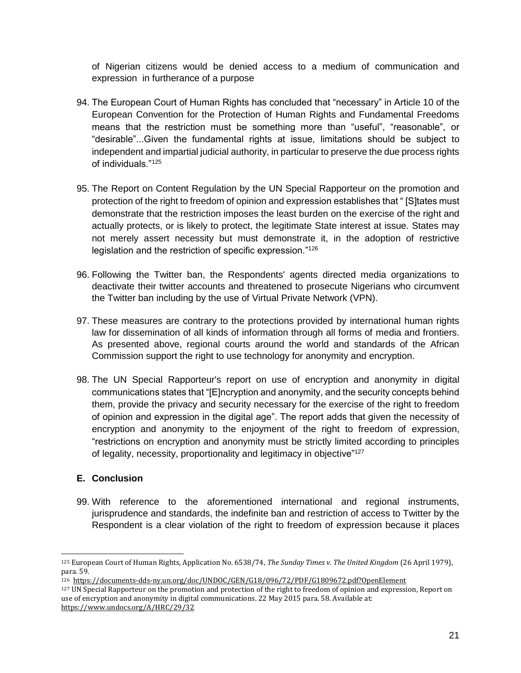of Nigerian citizens would be denied access to a medium of communication and expression in furtherance of a purpose

- 94. The European Court of Human Rights has concluded that "necessary" in Article 10 of the European Convention for the Protection of Human Rights and Fundamental Freedoms means that the restriction must be something more than "useful", "reasonable", or "desirable"...Given the fundamental rights at issue, limitations should be subject to independent and impartial judicial authority, in particular to preserve the due process rights of individuals."<sup>125</sup>
- 95. The Report on Content Regulation by the UN Special Rapporteur on the promotion and protection of the right to freedom of opinion and expression establishes that " [S]tates must demonstrate that the restriction imposes the least burden on the exercise of the right and actually protects, or is likely to protect, the legitimate State interest at issue. States may not merely assert necessity but must demonstrate it, in the adoption of restrictive legislation and the restriction of specific expression."<sup>126</sup>
- 96. Following the Twitter ban, the Respondents' agents directed media organizations to deactivate their twitter accounts and threatened to prosecute Nigerians who circumvent the Twitter ban including by the use of Virtual Private Network (VPN).
- 97. These measures are contrary to the protections provided by international human rights law for dissemination of all kinds of information through all forms of media and frontiers. As presented above, regional courts around the world and standards of the African Commission support the right to use technology for anonymity and encryption.
- 98. The UN Special Rapporteur's report on use of encryption and anonymity in digital communications states that "[E]ncryption and anonymity, and the security concepts behind them, provide the privacy and security necessary for the exercise of the right to freedom of opinion and expression in the digital age". The report adds that given the necessity of encryption and anonymity to the enjoyment of the right to freedom of expression, "restrictions on encryption and anonymity must be strictly limited according to principles of legality, necessity, proportionality and legitimacy in objective"<sup>127</sup>

## **E. Conclusion**

99. With reference to the aforementioned international and regional instruments, jurisprudence and standards, the indefinite ban and restriction of access to Twitter by the Respondent is a clear violation of the right to freedom of expression because it places

<sup>125</sup> European Court of Human Rights, Application No. 6538/74, *The Sunday Times v. The United Kingdom* (26 April 1979), para. 59.

<sup>126</sup><https://documents-dds-ny.un.org/doc/UNDOC/GEN/G18/096/72/PDF/G1809672.pdf?OpenElement>

<sup>&</sup>lt;sup>127</sup> UN Special Rapporteur on the promotion and protection of the right to freedom of opinion and expression, Report on use of encryption and anonymity in digital communications. 22 May 2015 para. 58. Available at: <https://www.undocs.org/A/HRC/29/32>